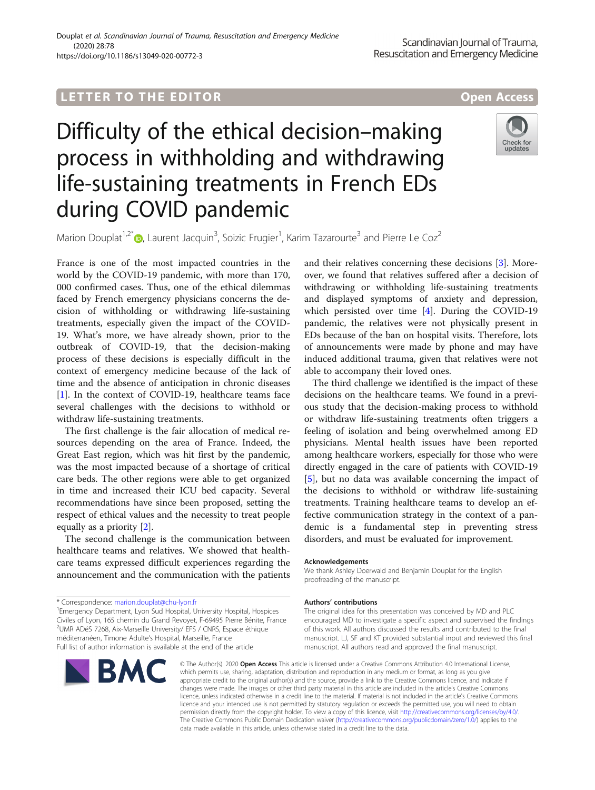## **LETTER TO THE EDITOR CONSIDERING ACCESS**

# Difficulty of the ethical decision–making process in withholding and withdrawing life-sustaining treatments in French EDs during COVID pandemic



Marion Douplat<sup>1,2[\\*](http://orcid.org/0000-0003-1592-4065)</sup> $\bullet$ , Laurent Jacquin<sup>3</sup>, Soizic Frugier<sup>1</sup>, Karim Tazarourte<sup>3</sup> and Pierre Le Coz<sup>2</sup>

France is one of the most impacted countries in the world by the COVID-19 pandemic, with more than 170, 000 confirmed cases. Thus, one of the ethical dilemmas faced by French emergency physicians concerns the decision of withholding or withdrawing life-sustaining treatments, especially given the impact of the COVID-19. What's more, we have already shown, prior to the outbreak of COVID-19, that the decision-making process of these decisions is especially difficult in the context of emergency medicine because of the lack of time and the absence of anticipation in chronic diseases [[1\]](#page-1-0). In the context of COVID-19, healthcare teams face several challenges with the decisions to withhold or withdraw life-sustaining treatments.

The first challenge is the fair allocation of medical resources depending on the area of France. Indeed, the Great East region, which was hit first by the pandemic, was the most impacted because of a shortage of critical care beds. The other regions were able to get organized in time and increased their ICU bed capacity. Several recommendations have since been proposed, setting the respect of ethical values and the necessity to treat people equally as a priority [\[2](#page-1-0)].

The second challenge is the communication between healthcare teams and relatives. We showed that healthcare teams expressed difficult experiences regarding the announcement and the communication with the patients

<sup>&</sup>lt;sup>1</sup> Emergency Department, Lyon Sud Hospital, University Hospital, Hospices Civiles of Lyon, 165 chemin du Grand Revoyet, F-69495 Pierre Bénite, France 2 UMR ADéS 7268, Aix-Marseille University/ EFS / CNRS, Espace éthique méditerranéen, Timone Adulte's Hospital, Marseille, France Full list of author information is available at the end of the article



and their relatives concerning these decisions [\[3](#page-1-0)]. Moreover, we found that relatives suffered after a decision of withdrawing or withholding life-sustaining treatments and displayed symptoms of anxiety and depression, which persisted over time [[4\]](#page-1-0). During the COVID-19 pandemic, the relatives were not physically present in EDs because of the ban on hospital visits. Therefore, lots of announcements were made by phone and may have induced additional trauma, given that relatives were not able to accompany their loved ones.

The third challenge we identified is the impact of these decisions on the healthcare teams. We found in a previous study that the decision-making process to withhold or withdraw life-sustaining treatments often triggers a feeling of isolation and being overwhelmed among ED physicians. Mental health issues have been reported among healthcare workers, especially for those who were directly engaged in the care of patients with COVID-19 [[5\]](#page-1-0), but no data was available concerning the impact of the decisions to withhold or withdraw life-sustaining treatments. Training healthcare teams to develop an effective communication strategy in the context of a pandemic is a fundamental step in preventing stress disorders, and must be evaluated for improvement.

#### Acknowledgements

We thank Ashley Doerwald and Benjamin Douplat for the English proofreading of the manuscript.

#### Authors' contributions

The original idea for this presentation was conceived by MD and PLC encouraged MD to investigate a specific aspect and supervised the findings of this work. All authors discussed the results and contributed to the final manuscript. LJ, SF and KT provided substantial input and reviewed this final manuscript. All authors read and approved the final manuscript.

© The Author(s), 2020 **Open Access** This article is licensed under a Creative Commons Attribution 4.0 International License, which permits use, sharing, adaptation, distribution and reproduction in any medium or format, as long as you give appropriate credit to the original author(s) and the source, provide a link to the Creative Commons licence, and indicate if changes were made. The images or other third party material in this article are included in the article's Creative Commons licence, unless indicated otherwise in a credit line to the material. If material is not included in the article's Creative Commons licence and your intended use is not permitted by statutory regulation or exceeds the permitted use, you will need to obtain permission directly from the copyright holder. To view a copy of this licence, visit [http://creativecommons.org/licenses/by/4.0/.](http://creativecommons.org/licenses/by/4.0/) The Creative Commons Public Domain Dedication waiver [\(http://creativecommons.org/publicdomain/zero/1.0/](http://creativecommons.org/publicdomain/zero/1.0/)) applies to the data made available in this article, unless otherwise stated in a credit line to the data.

<sup>\*</sup> Correspondence: [marion.douplat@chu-lyon.fr](mailto:marion.douplat@chu-lyon.fr) <sup>1</sup>